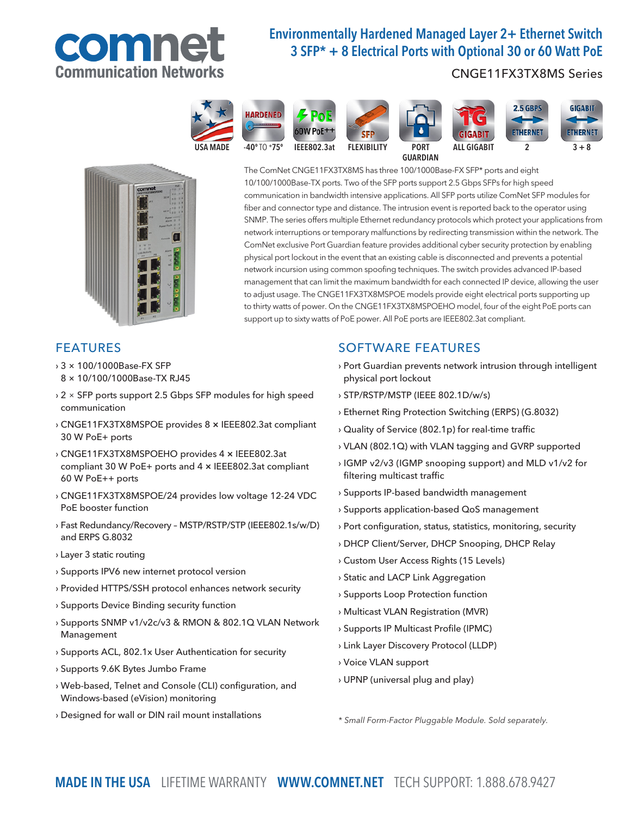

# Environmentally Hardened Managed Layer 2+ Ethernet Switch 3 SFP\* + 8 Electrical Ports with Optional 30 or 60 Watt PoE

## CNGE11FX3TX8MS Series



communication in bandwidth intensive applications. All SFP ports utilize ComNet SFP modules for fiber and connector type and distance. The intrusion event is reported back to the operator using SNMP. The series offers multiple Ethernet redundancy protocols which protect your applications from network interruptions or temporary malfunctions by redirecting transmission within the network. The ComNet exclusive Port Guardian feature provides additional cyber security protection by enabling physical port lockout in the event that an existing cable is disconnected and prevents a potential network incursion using common spoofing techniques. The switch provides advanced IP-based management that can limit the maximum bandwidth for each connected IP device, allowing the user to adjust usage. The CNGE11FX3TX8MSPOE models provide eight electrical ports supporting up to thirty watts of power. On the CNGE11FX3TX8MSPOEHO model, four of the eight PoE ports can

The ComNet CNGE11FX3TX8MS has three 100/1000Base-FX SFP\* ports and eight 10/100/1000Base-TX ports. Two of the SFP ports support 2.5 Gbps SFPs for high speed

## FEATURES

- › 3 × 100/1000Base-FX SFP
- 8 × 10/100/1000Base-TX RJ45
- › 2 × SFP ports support 2.5 Gbps SFP modules for high speed communication
- › CNGE11FX3TX8MSPOE provides 8 × IEEE802.3at compliant 30 W PoE+ ports
- › CNGE11FX3TX8MSPOEHO provides 4 × IEEE802.3at compliant 30 W PoE+ ports and 4 × IEEE802.3at compliant 60 W PoE++ ports
- › CNGE11FX3TX8MSPOE/24 provides low voltage 12-24 VDC PoE booster function
- › Fast Redundancy/Recovery MSTP/RSTP/STP (IEEE802.1s/w/D) and ERPS G.8032
- › Layer 3 static routing
- › Supports IPV6 new internet protocol version
- › Provided HTTPS/SSH protocol enhances network security
- › Supports Device Binding security function
- › Supports SNMP v1/v2c/v3 & RMON & 802.1Q VLAN Network Management
- › Supports ACL, 802.1x User Authentication for security
- › Supports 9.6K Bytes Jumbo Frame
- › Web-based, Telnet and Console (CLI) configuration, and Windows-based (eVision) monitoring
- › Designed for wall or DIN rail mount installations

# SOFTWARE FEATURES

support up to sixty watts of PoE power. All PoE ports are IEEE802.3at compliant.

- › Port Guardian prevents network intrusion through intelligent physical port lockout
- › STP/RSTP/MSTP (IEEE 802.1D/w/s)
- › Ethernet Ring Protection Switching (ERPS) (G.8032)
- › Quality of Service (802.1p) for real-time traffic
- › VLAN (802.1Q) with VLAN tagging and GVRP supported
- › IGMP v2/v3 (IGMP snooping support) and MLD v1/v2 for filtering multicast traffic
- › Supports IP-based bandwidth management
- › Supports application-based QoS management
- › Port configuration, status, statistics, monitoring, security
- › DHCP Client/Server, DHCP Snooping, DHCP Relay
- › Custom User Access Rights (15 Levels)
- › Static and LACP Link Aggregation
- › Supports Loop Protection function
- › Multicast VLAN Registration (MVR)
- › Supports IP Multicast Profile (IPMC)
- › Link Layer Discovery Protocol (LLDP)
- › Voice VLAN support
- › UPNP (universal plug and play)

\* Small Form-Factor Pluggable Module. Sold separately.